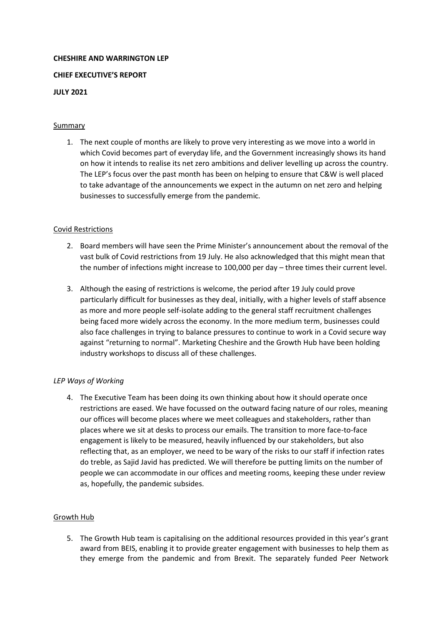### **CHESHIRE AND WARRINGTON LEP**

### **CHIEF EXECUTIVE'S REPORT**

### **JULY 2021**

### Summary

1. The next couple of months are likely to prove very interesting as we move into a world in which Covid becomes part of everyday life, and the Government increasingly shows its hand on how it intends to realise its net zero ambitions and deliver levelling up across the country. The LEP's focus over the past month has been on helping to ensure that C&W is well placed to take advantage of the announcements we expect in the autumn on net zero and helping businesses to successfully emerge from the pandemic.

# Covid Restrictions

- 2. Board members will have seen the Prime Minister's announcement about the removal of the vast bulk of Covid restrictions from 19 July. He also acknowledged that this might mean that the number of infections might increase to 100,000 per day – three times their current level.
- 3. Although the easing of restrictions is welcome, the period after 19 July could prove particularly difficult for businesses as they deal, initially, with a higher levels of staff absence as more and more people self-isolate adding to the general staff recruitment challenges being faced more widely across the economy. In the more medium term, businesses could also face challenges in trying to balance pressures to continue to work in a Covid secure way against "returning to normal". Marketing Cheshire and the Growth Hub have been holding industry workshops to discuss all of these challenges.

#### *LEP Ways of Working*

4. The Executive Team has been doing its own thinking about how it should operate once restrictions are eased. We have focussed on the outward facing nature of our roles, meaning our offices will become places where we meet colleagues and stakeholders, rather than places where we sit at desks to process our emails. The transition to more face-to-face engagement is likely to be measured, heavily influenced by our stakeholders, but also reflecting that, as an employer, we need to be wary of the risks to our staff if infection rates do treble, as Sajid Javid has predicted. We will therefore be putting limits on the number of people we can accommodate in our offices and meeting rooms, keeping these under review as, hopefully, the pandemic subsides.

# Growth Hub

5. The Growth Hub team is capitalising on the additional resources provided in this year's grant award from BEIS, enabling it to provide greater engagement with businesses to help them as they emerge from the pandemic and from Brexit. The separately funded Peer Network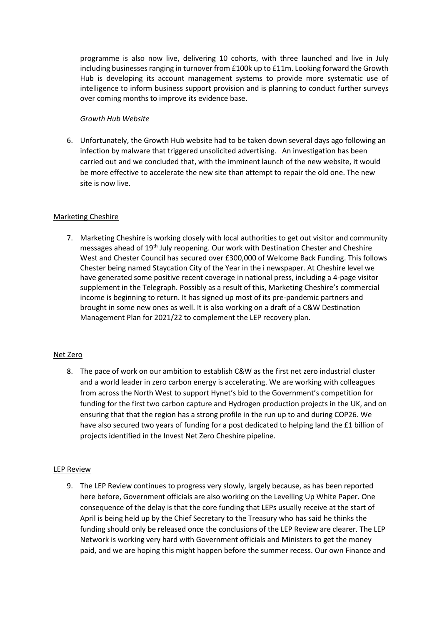programme is also now live, delivering 10 cohorts, with three launched and live in July including businesses ranging in turnover from £100k up to £11m. Looking forward the Growth Hub is developing its account management systems to provide more systematic use of intelligence to inform business support provision and is planning to conduct further surveys over coming months to improve its evidence base.

# *Growth Hub Website*

6. Unfortunately, the Growth Hub website had to be taken down several days ago following an infection by malware that triggered unsolicited advertising. An investigation has been carried out and we concluded that, with the imminent launch of the new website, it would be more effective to accelerate the new site than attempt to repair the old one. The new site is now live.

# Marketing Cheshire

7. Marketing Cheshire is working closely with local authorities to get out visitor and community messages ahead of 19th July reopening. Our work with Destination Chester and Cheshire West and Chester Council has secured over £300,000 of Welcome Back Funding. This follows Chester being named Staycation City of the Year in the i newspaper. At Cheshire level we have generated some positive recent coverage in national press, including a 4-page visitor supplement in the Telegraph. Possibly as a result of this, Marketing Cheshire's commercial income is beginning to return. It has signed up most of its pre-pandemic partners and brought in some new ones as well. It is also working on a draft of a C&W Destination Management Plan for 2021/22 to complement the LEP recovery plan.

#### Net Zero

8. The pace of work on our ambition to establish C&W as the first net zero industrial cluster and a world leader in zero carbon energy is accelerating. We are working with colleagues from across the North West to support Hynet's bid to the Government's competition for funding for the first two carbon capture and Hydrogen production projects in the UK, and on ensuring that that the region has a strong profile in the run up to and during COP26. We have also secured two years of funding for a post dedicated to helping land the £1 billion of projects identified in the Invest Net Zero Cheshire pipeline.

#### LEP Review

9. The LEP Review continues to progress very slowly, largely because, as has been reported here before, Government officials are also working on the Levelling Up White Paper. One consequence of the delay is that the core funding that LEPs usually receive at the start of April is being held up by the Chief Secretary to the Treasury who has said he thinks the funding should only be released once the conclusions of the LEP Review are clearer. The LEP Network is working very hard with Government officials and Ministers to get the money paid, and we are hoping this might happen before the summer recess. Our own Finance and